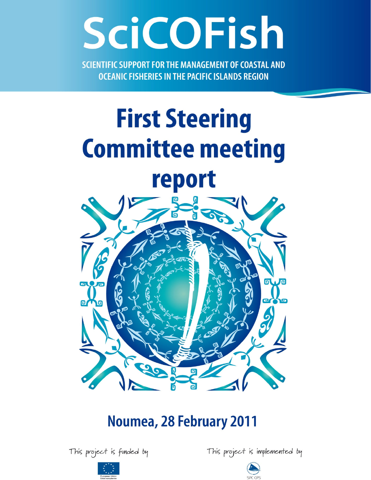# SciCOFish

SCIENTIFIC SUPPORT FOR THE MANAGEMENT OF COASTAL AND **OCEANIC FISHERIES IN THE PACIFIC ISLANDS REGION** 

## **First Steering Committee meeting** report



### Noumea, 28 February 2011

This project is funded by





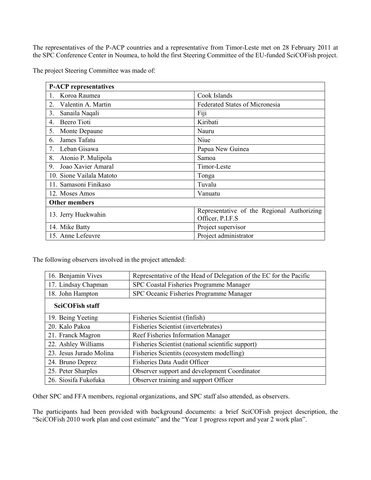The representatives of the P-ACP countries and a representative from Timor-Leste met on 28 February 2011 at the SPC Conference Center in Noumea, to hold the first Steering Committee of the EU-funded SciCOFish project.

The project Steering Committee was made of:

| <b>P-ACP</b> representatives         |                                            |
|--------------------------------------|--------------------------------------------|
| Koroa Raumea<br>$1_{-}$              | Cook Islands                               |
| $\overline{2}$<br>Valentin A. Martin | <b>Federated States of Micronesia</b>      |
| 3.<br>Sanaila Naqali                 | Fiji                                       |
| Beero Tioti<br>4.                    | Kiribati                                   |
| Monte Depaune<br>5.                  | Nauru                                      |
| James Tafatu<br>6.                   | Niue                                       |
| Leban Gisawa<br>$\tau$               | Papua New Guinea                           |
| 8.<br>Atonio P. Mulipola             | Samoa                                      |
| Joao Xavier Amaral<br>9.             | Timor-Leste                                |
| 10. Sione Vailala Matoto             | Tonga                                      |
| 11. Samasoni Finikaso                | Tuvalu                                     |
| 12. Moses Amos                       | Vanuatu                                    |
| <b>Other members</b>                 |                                            |
| 13. Jerry Huekwahin                  | Representative of the Regional Authorizing |
|                                      | Officer, P.I.F.S                           |
| 14. Mike Batty                       | Project supervisor                         |
| 15. Anne Lefeuvre                    | Project administrator                      |

The following observers involved in the project attended:

| 16. Benjamin Vives      | Representative of the Head of Delegation of the EC for the Pacific |
|-------------------------|--------------------------------------------------------------------|
| 17. Lindsay Chapman     | SPC Coastal Fisheries Programme Manager                            |
| 18. John Hampton        | SPC Oceanic Fisheries Programme Manager                            |
| <b>SciCOFish staff</b>  |                                                                    |
| 19. Being Yeeting       | Fisheries Scientist (finfish)                                      |
| 20. Kalo Pakoa          | Fisheries Scientist (invertebrates)                                |
| 21. Franck Magron       | Reef Fisheries Information Manager                                 |
| 22. Ashley Williams     | Fisheries Scientist (national scientific support)                  |
| 23. Jesus Jurado Molina | Fisheries Scientits (ecosystem modelling)                          |
| 24. Bruno Deprez        | <b>Fisheries Data Audit Officer</b>                                |
| 25. Peter Sharples      | Observer support and development Coordinator                       |
| 26. Siosifa Fukofuka    | Observer training and support Officer                              |

Other SPC and FFA members, regional organizations, and SPC staff also attended, as observers.

The participants had been provided with background documents: a brief SciCOFish project description, the "SciCOFish 2010 work plan and cost estimate" and the "Year 1 progress report and year 2 work plan".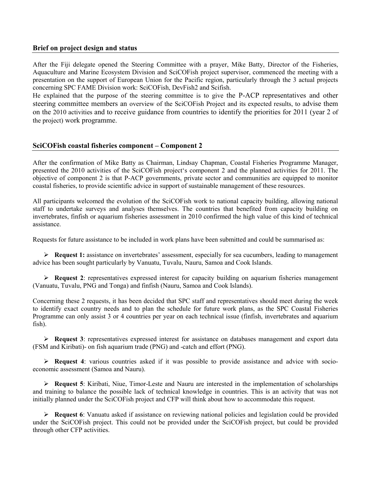#### Brief on project design and status

After the Fiji delegate opened the Steering Committee with a prayer, Mike Batty, Director of the Fisheries, Aquaculture and Marine Ecosystem Division and SciCOFish project supervisor, commenced the meeting with a presentation on the support of European Union for the Pacific region, particularly through the 3 actual projects concerning SPC FAME Division work: SciCOFish, DevFish2 and Scifish.

He explained that the purpose of the steering committee is to give the P-ACP representatives and other steering committee members an overview of the SciCOFish Project and its expected results, to advise them on the 2010 activities and to receive guidance from countries to identify the priorities for 2011 (year 2 of the project) work programme.

#### SciCOFish coastal fisheries component – Component 2

After the confirmation of Mike Batty as Chairman, Lindsay Chapman, Coastal Fisheries Programme Manager, presented the 2010 activities of the SciCOFish project's component 2 and the planned activities for 2011. The objective of component 2 is that P-ACP governments, private sector and communities are equipped to monitor coastal fisheries, to provide scientific advice in support of sustainable management of these resources.

All participants welcomed the evolution of the SciCOFish work to national capacity building, allowing national staff to undertake surveys and analyses themselves. The countries that benefited from capacity building on invertebrates, finfish or aquarium fisheries assessment in 2010 confirmed the high value of this kind of technical assistance.

Requests for future assistance to be included in work plans have been submitted and could be summarised as:

 $\triangleright$  Request 1: assistance on invertebrates' assessment, especially for sea cucumbers, leading to management advice has been sought particularly by Vanuatu, Tuvalu, Nauru, Samoa and Cook Islands.

 $\triangleright$  Request 2: representatives expressed interest for capacity building on aquarium fisheries management (Vanuatu, Tuvalu, PNG and Tonga) and finfish (Nauru, Samoa and Cook Islands).

Concerning these 2 requests, it has been decided that SPC staff and representatives should meet during the week to identify exact country needs and to plan the schedule for future work plans, as the SPC Coastal Fisheries Programme can only assist 3 or 4 countries per year on each technical issue (finfish, invertebrates and aquarium fish).

 $\triangleright$  Request 3: representatives expressed interest for assistance on databases management and export data (FSM and Kiribati)- on fish aquarium trade (PNG) and -catch and effort (PNG).

 $\triangleright$  Request 4: various countries asked if it was possible to provide assistance and advice with socioeconomic assessment (Samoa and Nauru).

 Request 5: Kiribati, Niue, Timor-Leste and Nauru are interested in the implementation of scholarships and training to balance the possible lack of technical knowledge in countries. This is an activity that was not initially planned under the SciCOFish project and CFP will think about how to accommodate this request.

 $\triangleright$  Request 6: Vanuatu asked if assistance on reviewing national policies and legislation could be provided under the SciCOFish project. This could not be provided under the SciCOFish project, but could be provided through other CFP activities.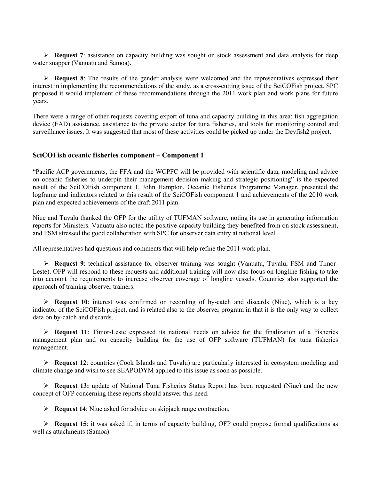$\triangleright$  Request 7: assistance on capacity building was sought on stock assessment and data analysis for deep water snapper (Vanuatu and Samoa).

 $\triangleright$  Request 8: The results of the gender analysis were welcomed and the representatives expressed their interest in implementing the recommendations of the study, as a cross-cutting issue of the SciCOFish project. SPC proposed it would implement of these recommendations through the 2011 work plan and work plans for future years.

There were a range of other requests covering export of tuna and capacity building in this area: fish aggregation device (FAD) assistance, assistance to the private sector for tuna fisheries, and tools for monitoring control and surveillance issues. It was suggested that most of these activities could be picked up under the Devfish2 project.

#### SciCOFish oceanic fisheries component – Component 1

"Pacific ACP governments, the FFA and the WCPFC will be provided with scientific data, modeling and advice on oceanic fisheries to underpin their management decision making and strategic positioning" is the expected result of the SciCOFish component 1. John Hampton, Oceanic Fisheries Programme Manager, presented the logframe and indicators related to this result of the SciCOFish component 1 and achievements of the 2010 work plan and expected achievements of the draft 2011 plan.

Niue and Tuvalu thanked the OFP for the utility of TUFMAN software, noting its use in generating information reports for Ministers. Vanuatu also noted the positive capacity building they benefited from on stock assessment, and FSM stressed the good collaboration with SPC for observer data entry at national level.

All representatives had questions and comments that will help refine the 2011 work plan.

 $\triangleright$  Request 9: technical assistance for observer training was sought (Vanuatu, Tuvalu, FSM and Timor-Leste). OFP will respond to these requests and additional training will now also focus on longline fishing to take into account the requirements to increase observer coverage of longline vessels. Countries also supported the approach of training observer trainers.

Request 10: interest was confirmed on recording of by-catch and discards (Niue), which is a key indicator of the SciCOFish project, and is related also to the observer program in that it is the only way to collect data on by-catch and discards.

 $\triangleright$  Request 11: Timor-Leste expressed its national needs on advice for the finalization of a Fisheries management plan and on capacity building for the use of OFP software (TUFMAN) for tuna fisheries management.

 $\triangleright$  Request 12: countries (Cook Islands and Tuvalu) are particularly interested in ecosystem modeling and climate change and wish to see SEAPODYM applied to this issue as soon as possible.

 $\triangleright$  Request 13: update of National Tuna Fisheries Status Report has been requested (Niue) and the new concept of OFP concerning these reports should answer this need.

 $\triangleright$  **Request 14:** Niue asked for advice on skipjack range contraction.

 $\triangleright$  Request 15: it was asked if, in terms of capacity building, OFP could propose formal qualifications as well as attachments (Samoa).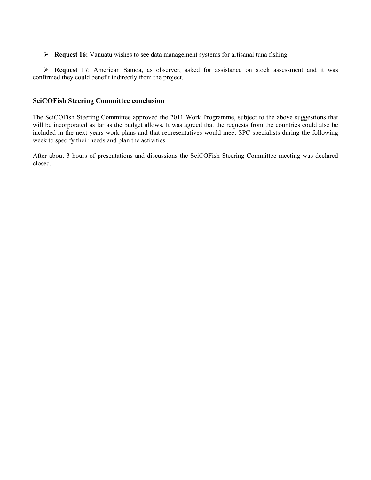Request 16: Vanuatu wishes to see data management systems for artisanal tuna fishing.

 Request 17: American Samoa, as observer, asked for assistance on stock assessment and it was confirmed they could benefit indirectly from the project.

#### SciCOFish Steering Committee conclusion

The SciCOFish Steering Committee approved the 2011 Work Programme, subject to the above suggestions that will be incorporated as far as the budget allows. It was agreed that the requests from the countries could also be included in the next years work plans and that representatives would meet SPC specialists during the following week to specify their needs and plan the activities.

After about 3 hours of presentations and discussions the SciCOFish Steering Committee meeting was declared closed.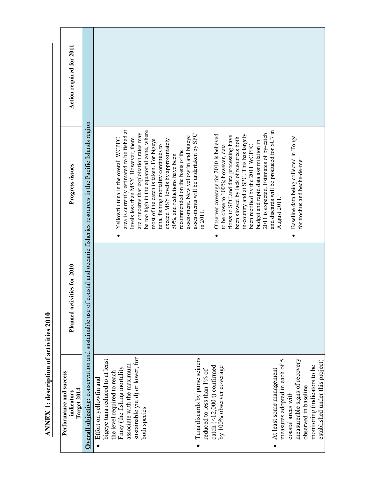| Performance and success<br>Target 2014<br>indicators                                                                                                                                                        | Planned activities for 2010 | Progress /issues                                                                                                                                                                                                                                                                                                                                                                                                                                                                             | Action required for 2011 |
|-------------------------------------------------------------------------------------------------------------------------------------------------------------------------------------------------------------|-----------------------------|----------------------------------------------------------------------------------------------------------------------------------------------------------------------------------------------------------------------------------------------------------------------------------------------------------------------------------------------------------------------------------------------------------------------------------------------------------------------------------------------|--------------------------|
|                                                                                                                                                                                                             |                             | Overall objective: conservation and sustainable use of coastal and oceanic fisheries resources in the Pacific Islands region                                                                                                                                                                                                                                                                                                                                                                 |                          |
| sustainable yield) or lower, for<br>bigeye tuna reduced to at least<br>associate with the maximum<br>Fmsy (the fishing mortality<br>the level required to reach<br>Effort on yellowfin and<br>both species  |                             | area is currently estimated to be fished at<br>be too high in the equatorial zone, where<br>are concerns that exploitation rates may<br>levels less than MSY. However, there<br>Yellowfin tuna in the overall WCPFC<br>most of the catch is taken. For bigeye<br>tuna, fishing mortality continues to                                                                                                                                                                                        |                          |
| Tuna discards by purse seiners<br>catch (<12,000 t) confirmed<br>by 100% observer coverage<br>reduced to less than 1% of                                                                                    |                             | assessments will be undertaken by SPC<br>Observer coverage for 2010 is believed<br>in-country and at SPC. This has largely<br>assessment. New yellowfin and bigeye<br>flows to SPC and data processing have<br>been slowed by lack of resources both<br>exceed MSY levels by approximately<br>budget and rapid data assimilation in<br>to be close to 100%; however, data<br>been rectified by the 2011 WCPFC<br>recommended on the basis of the<br>50%, and reductions have been<br>in 2011 |                          |
| measureable signs of recovery<br>measures adopted in each of 5<br>monitoring (indicators to be<br>established under this project)<br>At least some management<br>observed in baseline<br>coastal areas with |                             | and discards will be produced for SC7 in<br>2011 is expected. Estimates of by-catch<br>Baseline data being collected in Tonga<br>for trochus and beche-de-mer<br>August 2011                                                                                                                                                                                                                                                                                                                 |                          |

**ANNEX 1: description of activities 2010** ANNEX 1: description of activities 2010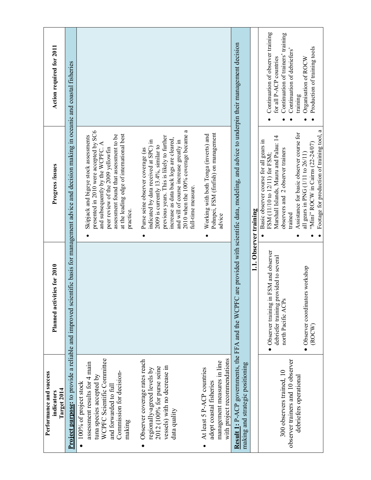| Action required for 2011                             | ientific basis for management advice and decision making in oceanic and coastal fisheries |                                                                                                                                                                                                                                                              |                                                                                                                                                                                                                                                                                                                       |                                                                                                                      | Result 1: P-ACP governments, the FFA and the WCPFC are provided with scientific data, modeling, and advice to underpin their management decision |                        | Continuation of observer training<br>Continuation of trainers' training<br>Continuation of debriefers'<br>for all P-ACP countries                                | Production of training tools<br>Organisation of ROCW<br>training                                                                                                 |
|------------------------------------------------------|-------------------------------------------------------------------------------------------|--------------------------------------------------------------------------------------------------------------------------------------------------------------------------------------------------------------------------------------------------------------|-----------------------------------------------------------------------------------------------------------------------------------------------------------------------------------------------------------------------------------------------------------------------------------------------------------------------|----------------------------------------------------------------------------------------------------------------------|--------------------------------------------------------------------------------------------------------------------------------------------------|------------------------|------------------------------------------------------------------------------------------------------------------------------------------------------------------|------------------------------------------------------------------------------------------------------------------------------------------------------------------|
| Progress /issues                                     |                                                                                           | presented in 2010 were accepted by SC6<br>at the leading edge of international best<br>assessment found that assessment to be<br>Skipjack and bigeye stock assessments<br>and subsequently by the WCPFC. A<br>peer review of the 2009 yellowfin<br>practice. | 2010 when the 100% coverage became a<br>previous years. This is likely to further<br>increase as data back logs are cleared,<br>indicated by data received at SPC) in<br>and will of course increase greatly in<br>2009 is currently $13.4\%$ , similar to<br>Purse seine observer coverage (as<br>full-time measure. | Pohnpei, FSM (finfish) on management<br>Working with both Tonga (inverts) and<br>advice                              |                                                                                                                                                  | 1.1. Observer training | Marshall Islands, Mauru and Palau: 14<br>Basic observer course for all gears in<br>observers and 2 observer trainers<br>FSM (11/10 to 12/11) for FSM;<br>trained | Footage for production of training tool, a<br>Assistance for basic observer course for<br>"Mini" ROCW in Cairns $(22-24/07)$<br>all gears in PNG (1/11 to 26/11) |
| Planned activities for 2010                          |                                                                                           |                                                                                                                                                                                                                                                              |                                                                                                                                                                                                                                                                                                                       |                                                                                                                      |                                                                                                                                                  |                        | in FSM and observer<br>provided to several<br>north Pacific ACPs<br>debriefer training p<br>· Observer training                                                  | • Observer coordinators workshop<br>(ROCW)                                                                                                                       |
| Performance and success<br>Target 2014<br>indicators | <b>Project purpose:</b> to provide a reliable and improved sc                             | WCPFC Scientific Committee<br>assessment results for 4 main<br>Commission for decision-<br>tuna species accepted by<br>100% of project stock<br>and forwarded to full<br>making                                                                              | Observer coverage rates reach<br>vessels) with no decrease in<br>2012 (100% for purse seine<br>regionally-agreed levels by<br>data quality<br>$\bullet$                                                                                                                                                               | with project recommendations<br>management measures in line<br>At least 5 P-ACP countries<br>adopt coastal fisheries | making and strategic positioning                                                                                                                 |                        | observer trainers and 10 observer<br>300 observers trained, 10                                                                                                   | debriefers operational                                                                                                                                           |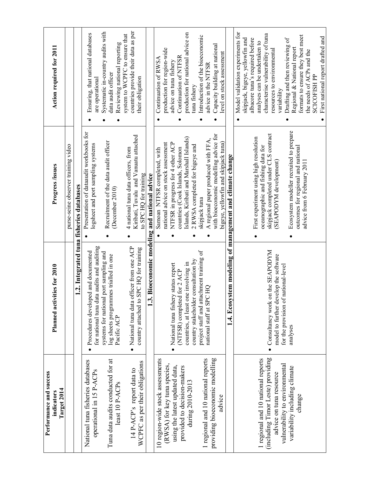| Action required for 2011                             |                                     |                                          | Ensuring, that national databases<br>are operational                              | Systematic in-country audits with<br>Reviewing national reporting<br>data audit officer        | countries provide their data as per<br>system to WCPFC to ensure that<br>their obligation              |                                               | Continuation of RWSA             | production for region-wide          | advice on tuna fishery              | production for national advice on<br>Continuation of NTFSR                  | tuna fishery                        | Introduction of the bioeconomic          | advice in the NTFSR                 | Capacity building at national<br>level on stock assessment                    |                                                          | Model validation experiments for<br>characterise vulnerability of tuna<br>formats to ensure they best meet<br>First national report drafted and<br>skipjack, bigeye, yellowfin and<br>albacore tuna's required before<br>Drafting and then reviewing of<br>analyses can be undertaken to<br>Regional & National report<br>resources to environmental<br>the needs of ACPs and the<br><b>SCICOFISH PP</b><br>variability |
|------------------------------------------------------|-------------------------------------|------------------------------------------|-----------------------------------------------------------------------------------|------------------------------------------------------------------------------------------------|--------------------------------------------------------------------------------------------------------|-----------------------------------------------|----------------------------------|-------------------------------------|-------------------------------------|-----------------------------------------------------------------------------|-------------------------------------|------------------------------------------|-------------------------------------|-------------------------------------------------------------------------------|----------------------------------------------------------|-------------------------------------------------------------------------------------------------------------------------------------------------------------------------------------------------------------------------------------------------------------------------------------------------------------------------------------------------------------------------------------------------------------------------|
| Progress /issues                                     | purse-seine observer training video | 1.2. Integrated tuna fisheries databases | Presentation of dataaudit workbooks for<br>logsheet and port sampling systems     | Recruitment of the data audit officer<br>(December 2010)                                       | Kiribati, Tuvalu and Vanuatu attached<br>4 national tuna data officers, from<br>to SPC HQ for training | 1.3. Bioeconomic modeling and national advice | Samoan NTFSR completed, with     | national advice on stock assessment | NTFSR in progress for 4 other ACP   | Islands, Kiribati and Marshall Islands)<br>countries (Cook Islands, Solomon | 2 RWSA completed for bigeye and     | skipjack tuna                            | A regional paper produced with FFA, | with bioeconomic modelling advice for<br>bigeye, yellowfin and skipjack tuna) | 1.4. Ecosystem modeling of management and climate change | Ecosystem modeller recruited to prepare<br>skipjack completed under CLS contract<br>First experiment using high resolution<br>oceanographic and fishing data for<br>outcomes for regional and national<br>(SEAPODYM development)<br>advice from 6 February 2011                                                                                                                                                         |
| Planned activities for 2010                          |                                     |                                          | for national tuna data audits and auditing<br>Procedures developed and documented | systems for national port sampling and<br>log sheets programmes trialled in one<br>Pacific ACP | officer from one ACP<br>SPC HQ for training<br>country attached to<br>· National tuna data             |                                               |                                  |                                     | National tuna fishery status report | countries, at least one involving in<br>(NTFSR) completed for 2 ACP         | country stakeholder consultation by | project staff and attachment training of | national staff at SPC HQ            |                                                                               |                                                          | Consultancy work on the SEAPODYM<br>model to further develop the software<br>for the provision of national-level<br>analyses                                                                                                                                                                                                                                                                                            |
| Performance and success<br>Target 2014<br>indicators |                                     |                                          | National tuna fisheries databases<br>operational in 15 P-ACPs                     | Tuna data audits conducted for at<br>least 10 P-ACPs                                           | WCPFC as per their obligations<br>14 P-ACP's report data to                                            |                                               | 10 region-wide stock assessments | (RWSA) for key tuna species,        | using the latest updated data,      | provided to decision-makers                                                 | during 2010-2013                    |                                          | 1 regional and 10 national reports  | providing bioeconomic modelling<br>advice                                     |                                                          | (including Timor Leste) providing<br>1 regional and 10 national reports<br>vulnerability to environmental<br>variability including climate<br>advice on tuna resource<br>change                                                                                                                                                                                                                                         |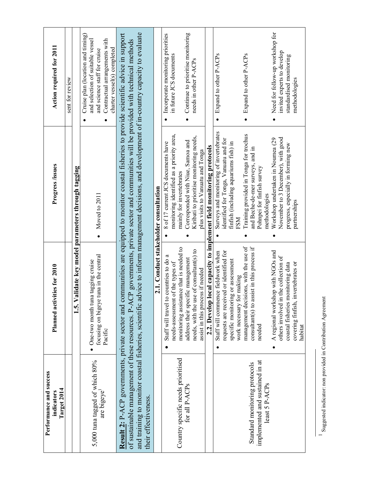| Action required for 2011                             | sent for review |                                              | Cruise plan (location and timing)<br>Contractual arrangements with<br>and selection of suitable vessel<br>charter vessel(s) completed<br>and science staff for cruise |                                                                                                                                                                                                                                                                                                                                                                                                                                                    |                                       | Incorporate monitoring priorities<br>in future JCS documents                    | Continue to prioritise monitoring<br>needs in other P-ACPs                                                                                                  |                                                                     | Expand to other P-ACPs                                                                                                                  | Expand to other P-ACPs                                                                                                     | Need for follow-up workshop for<br>invited experts to develop<br>standardised monitoring<br>methodologies                                                          |
|------------------------------------------------------|-----------------|----------------------------------------------|-----------------------------------------------------------------------------------------------------------------------------------------------------------------------|----------------------------------------------------------------------------------------------------------------------------------------------------------------------------------------------------------------------------------------------------------------------------------------------------------------------------------------------------------------------------------------------------------------------------------------------------|---------------------------------------|---------------------------------------------------------------------------------|-------------------------------------------------------------------------------------------------------------------------------------------------------------|---------------------------------------------------------------------|-----------------------------------------------------------------------------------------------------------------------------------------|----------------------------------------------------------------------------------------------------------------------------|--------------------------------------------------------------------------------------------------------------------------------------------------------------------|
| <b>Progress /issues</b>                              |                 | alidate key model parameters through tagging | Moved to 2011                                                                                                                                                         |                                                                                                                                                                                                                                                                                                                                                                                                                                                    | 2.1. Conduct stakeholder consultation | monitoring identified as a priority area,<br>8 of 17 current JCS documents have | Kiribati to prioritise monitoring needs,<br>Corresponded with Niue, Samoa and<br>plus visits to Vanuatu and Tonga<br>mainly for invertebrates               | 2.2. Develop local capacity to implement field monitoring protocols | Surveys and monitoring of invertebrates<br>identified for Tonga, Vanuatu and for<br>finfish (including aquariums fish) in<br><b>FSM</b> | Training provided in Tonga for trochus<br>and Beche-de-mer surveys, and in<br>Pohnpei for finfish survey<br>methodologies  | November to 3 December), with good<br>Workshop undertaken in Noumea (29<br>progress, especially in forming new<br>partnerships                                     |
| Planned activities for 2010                          |                 | 1.5. V                                       | tuna in the central<br>a tagging cruise<br>$\bullet$ One-two month tun<br>focusing on bigeye<br>Pacific                                                               | and training to monitor coastal fisheries, scientific advice to inform management decisions, and development of in-country capacity to evaluate<br><b>Result 2:</b> P-ACP governments, private sector and communities are equipped to monitor coastal fisheries to provide scientific advice in support<br>of sustainable management of these resources. P-ACP governments, private sector and communities will be provided with technical methods |                                       | Staff will travel to countries to do<br>needs-assessment of the types of        | monitoring assistance that is needed to<br>needs, with the use of consultant(s) to<br>address their specific management<br>assist in this process if needed |                                                                     | requests are received or identified for<br>Staff will commence fieldwork when<br>specific monitoring or assessment                      | management decisions, with the use of<br>consultant(s) to assist in this process if<br>work necessary for making<br>needed | A regional workshop with NGOs and<br>others involved in the collection of<br>invertebrates or<br>coastal fisheries monitoring data<br>covering finfish,<br>habitat |
| Performance and success<br>Target 2014<br>indicators |                 |                                              | 5,000 tuna tagged of which 80%<br>are bigeye <sup>1</sup>                                                                                                             | their effectiveness.                                                                                                                                                                                                                                                                                                                                                                                                                               |                                       |                                                                                 | Country specific needs prioritised<br>for all P-ACPs                                                                                                        |                                                                     |                                                                                                                                         | implemented and sustained in at<br>Standard monitoring protocols<br>least 5 P-ACPs                                         |                                                                                                                                                                    |

<sup>1</sup> Suggested indicator: non provided in Contribution Agreement Suggested indicator: non provided in Contribution Agreement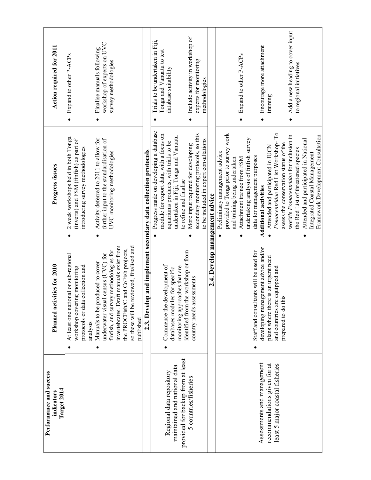| Performance and success<br>Target 2014<br>indicators                                          | Planned activities for 2010                                                                                                                                                                                                                                  | Progress /issues                                                                                                                                                                                    | Action required for 2011                                                              |
|-----------------------------------------------------------------------------------------------|--------------------------------------------------------------------------------------------------------------------------------------------------------------------------------------------------------------------------------------------------------------|-----------------------------------------------------------------------------------------------------------------------------------------------------------------------------------------------------|---------------------------------------------------------------------------------------|
|                                                                                               | At least one national or sub-regional<br>collection and<br>ig monitoring<br>workshop coverin<br>protocols or data<br>analysis                                                                                                                                | 2 week workshops held in both Tonga<br>(inverts) and FSM (finfish) as part of<br>introducing survey methodologies                                                                                   | Expand to other P-ACPs<br>$\bullet$                                                   |
|                                                                                               | so these will be reviewed, finalised and<br>invertebrates. Draft manuals exist from<br>and CoFish projects,<br>finfish, and survey methodologies for<br>underwater visual census (UVC) for<br>Manuals to be produced to cover<br>the PROCFish/C<br>published | Activity deferred to 2011 to allow for<br>further input to the standardisation of<br>UVC monitoring methodologies                                                                                   | workshop of experts on UVC<br>Finalise manuals following<br>survey methodologies      |
|                                                                                               |                                                                                                                                                                                                                                                              | 2.3. Develop and implement secondary data collection protocols                                                                                                                                      |                                                                                       |
| provided for backup from at least<br>maintained and national data<br>Regional data repository | Commence the development of<br>monitoring approaches that are<br>databases modules for specific                                                                                                                                                              | Progress made on developing a database<br>module for export data, with a focus on<br>undertaken in Fiji, Tonga and Vanuatu<br>aquariums products, with trials to be<br>to refine and finalise       | Trials to be undertaken in Fiji,<br>Tonga and Vanuatu to test<br>database suitability |
| 5 countries/fisheries                                                                         | identified from the workshop or from<br>country needs assessments                                                                                                                                                                                            | secondary monitoring protocols, so this<br>to be included in expert consultations<br>More input required for developing                                                                             | Include activity in workshop of<br>experts for monitoring<br>methodologies            |
|                                                                                               |                                                                                                                                                                                                                                                              | 2.4. Develop management advice                                                                                                                                                                      |                                                                                       |
|                                                                                               |                                                                                                                                                                                                                                                              | provided to Tonga prior to survey work<br>undertaking analysis of finfish survey<br>Preliminary management advice<br>and training being undertaken<br>Attachment trainee from FSM                   | Expand to other P-ACPs                                                                |
| Assessments and management<br>recommendations given for at<br>least 5 major coastal fisheries | developing management advice and/or<br>Staff and consultants will be used for<br>plans where there is an urgent need<br>and countries are equipped and<br>prepared to do thi                                                                                 | Pomacentridae Red List Workshop-To<br>assess the conservation status of the<br>Attended and participated in IUCN<br>data for management purposes<br><b>Additional activities</b>                    | Encourage more attachment<br>training                                                 |
|                                                                                               |                                                                                                                                                                                                                                                              | world's <i>Pomacentridae</i> for inclusion in<br>Framework Development Consultation<br>Attended and participated in National<br>the Red List of threatened species<br>Integrated Coastal Management | Add a new heading to cover input<br>to regional initiatives                           |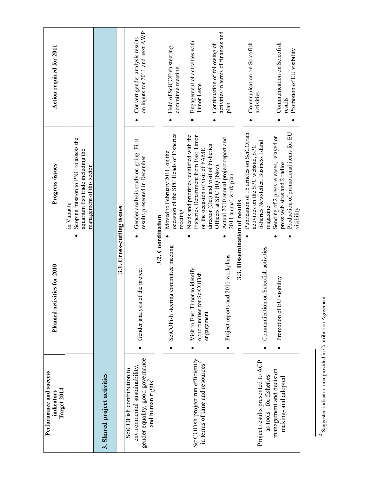| Performance and success<br>Target 2014<br>indicators                                                                            | ities for 2010<br>Planned activ                                              | Progress /issues                                                                                                                   | Action required for 2011                                                    |
|---------------------------------------------------------------------------------------------------------------------------------|------------------------------------------------------------------------------|------------------------------------------------------------------------------------------------------------------------------------|-----------------------------------------------------------------------------|
|                                                                                                                                 |                                                                              | Scoping mission to PNG to assess the<br>aquarium fish trade including the<br>management of this sector<br>in Vanuatu               |                                                                             |
| 3. Shared project activities                                                                                                    |                                                                              |                                                                                                                                    |                                                                             |
|                                                                                                                                 |                                                                              | 3.1. Cross-cutting issues                                                                                                          |                                                                             |
| gender equality, good governance<br>environmental sustainability,<br>SciCOFish contribution to<br>and human rights <sup>2</sup> | Gender analysis of the project                                               | Gender analysis study on going. First<br>results presented in December                                                             | on inputs for 2011 and next AWP<br>Convert gender analysis results          |
|                                                                                                                                 |                                                                              | 3.2. Coordination                                                                                                                  |                                                                             |
|                                                                                                                                 | g committee meeting<br>SciCOFish steerin                                     | occasion of the SPC Heads of Fisheries<br>Moved to February 2011, on the<br>meeting                                                | Held of SciCOFish steering<br>committee meeting                             |
| SciCOFish project run efficiently<br>in terms of time and resources <sup>1</sup>                                                | Visit to East Timor to identify<br>opportunities for SciCOFish<br>engagement | Needs and priorities identified with the<br><b>Fisheries Department from East Timor</b><br>on the occasion of visit of FAME        | Engagement of activities with<br>Timor Leste                                |
|                                                                                                                                 | Project reports and 2011 workplans                                           | Actual 2010 annual project report and<br>director (Oct) and visit of Fisheries<br>Officers at SPC HQ (Nov)                         | activities in terms of finances and<br>Continuation of following of<br>plan |
|                                                                                                                                 |                                                                              | 2011 annual work plan<br>3.3. Dissemination of results                                                                             |                                                                             |
| Project results presented to ACP<br>as tools-for fisheries                                                                      | Communication on Scicofish activities                                        | Publication of 15 articles on SciCOFish<br>fisheries Newsletter, Business Island<br>activities on the SPC website, SPC<br>magazine | Communication on Scicofish<br>activities                                    |
| management and decision<br>making-and adopted                                                                                   | visibility<br>Promotion of EU                                                | Production of promotional items for EU<br>Sending of 2 press releases, relayed on<br>press web sites and 2 radios<br>visibility    | Communication on Scicofish<br>Promotion of EU visibility<br>results         |

 $^2$  Suggested indicator: non provided in Contribution Agreement Suggested indicator: non provided in Contribution Agreement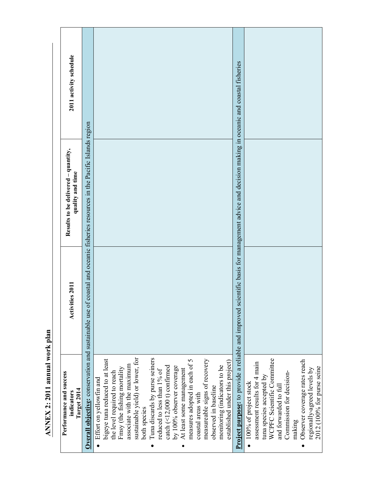| 2011 activity schedule<br>Results to be delivered - quantity,<br>quality and time<br><b>Activities 2011</b> | coastal and oceanic fisheries resources in the Pacific Islands region |                                                                                                                                                                                                                                                                                                                                                                                                                                                                                                                                                          | Project purpose: to provide a reliable and improved scientific basis for management advice and decision making in oceanic and coastal fisheries |                                                                                                                                                                                                                                                 |
|-------------------------------------------------------------------------------------------------------------|-----------------------------------------------------------------------|----------------------------------------------------------------------------------------------------------------------------------------------------------------------------------------------------------------------------------------------------------------------------------------------------------------------------------------------------------------------------------------------------------------------------------------------------------------------------------------------------------------------------------------------------------|-------------------------------------------------------------------------------------------------------------------------------------------------|-------------------------------------------------------------------------------------------------------------------------------------------------------------------------------------------------------------------------------------------------|
| Performance and success<br>Target 2014<br>indicators                                                        | <b>Overall objective:</b> conservation and sustainable use of         | sustainable yield) or lower, for<br>Tuna discards by purse seiners<br>bigeye tuna reduced to at least<br>measures adopted in each of 5<br>measureable signs of recovery<br>established under this project)<br>associate with the maximum<br>monitoring (indicators to be<br>catch (<12,000 t) confirmed<br>by 100% observer coverage<br>Fmsy (the fishing mortality<br>At least some management<br>reduced to less than $1\%$ of<br>the level required to reach<br>Effort on yellowfin and<br>observed in baseline<br>coastal areas with<br>both species |                                                                                                                                                 | WCPFC Scientific Committee<br>Observer coverage rates reach<br>assessment results for 4 main<br>regionally-agreed levels by<br>Commission for decision-<br>tuna species accepted by<br>100% of project stock<br>and forwarded to full<br>making |

ANNEX 2: 2011 annual work plan ANNEX 2:2011 annual work plan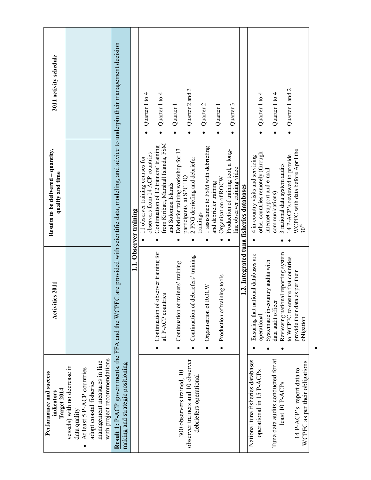| Performance and success<br>Target 2014<br>indicators                                                                                                                 | <b>Activities 2011</b>                                                                | Results to be delivered - quantity,<br>quality and time                                         | 2011 activity schedule |
|----------------------------------------------------------------------------------------------------------------------------------------------------------------------|---------------------------------------------------------------------------------------|-------------------------------------------------------------------------------------------------|------------------------|
| with project recommendations<br>management measures in line<br>vessels) with no decrease in<br>At least 5 P-ACP countries<br>adopt coastal fisheries<br>data quality |                                                                                       |                                                                                                 |                        |
| Result 1: P-ACP governments, the FFA and the WCPF<br>making and strategic positioning                                                                                |                                                                                       | C are provided with scientific data, modeling, and advice to underpin their management decision |                        |
|                                                                                                                                                                      |                                                                                       | 1.1. Observer training                                                                          |                        |
|                                                                                                                                                                      |                                                                                       | observers from 14 ACP countries<br>11 observer training courses for                             | Quarter 1 to $4$       |
|                                                                                                                                                                      | Continuation of observer training for<br>all P-ACP countries                          | from Kiribati, Marshall Islands, FSM<br>Continuation of 12 trainers' training                   | Quarter 1 to 4         |
| 300 observers trained, 10                                                                                                                                            | Continuation of trainers' training                                                    | Debriefer training workshop for 13<br>and Solomon Islands                                       | Quarter 1              |
| observer trainers and 10 observer<br>debriefers operational                                                                                                          | lebriefers' training<br>Continuation of d                                             | 2 PNG debriefing and debriefer<br>participants at SPC HQ                                        | Quarter 2 and 3        |
|                                                                                                                                                                      | Organisation of ROCW                                                                  | 1 assistance to FSM with debriefing<br>trainings                                                | Quarter 2              |
|                                                                                                                                                                      | Production of training tools                                                          | Organisation of ROCW<br>and debriefer training                                                  | Quarter 1              |
|                                                                                                                                                                      |                                                                                       | Production of training tool, a long-<br>line observer training video                            | Quarter 3              |
|                                                                                                                                                                      |                                                                                       | 1.2. Integrated tuna fisheries databases                                                        |                        |
| National tuna fisheries databases<br>operational in 15 P-ACPs                                                                                                        | Ensuring that national databases are<br>operational                                   | other countries remotely (through<br>4 in-country visits and servicing                          | Quarter $1$ to $4$     |
| Tuna data audits conducted for at                                                                                                                                    | Systematic in-country audits with<br>data audit officer                               | internet support and e-mail<br>communications)                                                  | Quarter 1 to $4$<br>٠  |
| least 10 P-ACPs                                                                                                                                                      | Reviewing national reporting system                                                   | 3 national data system audits                                                                   |                        |
| WCPFC as per their obligations<br>14 P-ACP's report data to                                                                                                          | to WCPFC to ensure that countries<br>as per their<br>provide their data<br>obligation | WCPFC with data before April the<br>14 P-ACP's reviewed to provide<br>30 <sup>th</sup>          | Quarter 1 and 2<br>٠   |
|                                                                                                                                                                      |                                                                                       |                                                                                                 |                        |

•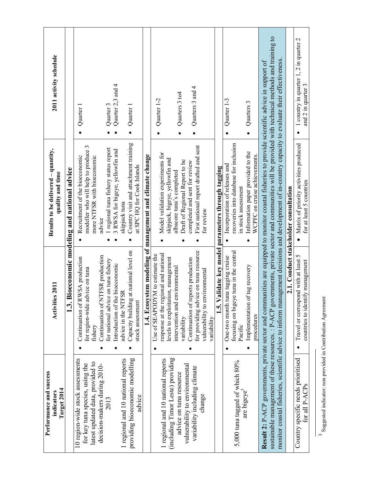| Performance and success<br>Target 2014<br>indicators                                                                                    | Activities 2011                                                                                                                                  | Results to be delivered - quantity,<br>quality and time                                                                                                                                                                                                                                                                                                                                                 | 2011 activity schedule                                                    |
|-----------------------------------------------------------------------------------------------------------------------------------------|--------------------------------------------------------------------------------------------------------------------------------------------------|---------------------------------------------------------------------------------------------------------------------------------------------------------------------------------------------------------------------------------------------------------------------------------------------------------------------------------------------------------------------------------------------------------|---------------------------------------------------------------------------|
|                                                                                                                                         | 1.3.                                                                                                                                             | Bioeconomic modeling and national advice                                                                                                                                                                                                                                                                                                                                                                |                                                                           |
| 10 region-wide stock assessments<br>latest updated data, provided to<br>for key tuna species, using the<br>decision-makers during 2010- | Continuation of NTFSR production<br>Continuation of RWSA production<br>for region-wide advice on tuna<br>fishery                                 | modeller who will help to produce 3<br>Recruitment of the bioeconomic<br>more NTFSR with bioeconomic<br>advice                                                                                                                                                                                                                                                                                          | Quarter 1                                                                 |
| 2013                                                                                                                                    | for national advice on tuna fishery<br>Introduction of the bioeconomic                                                                           | 1 regional tuna fishery status report<br>3 RWSA for bigeye, yellowfin and                                                                                                                                                                                                                                                                                                                               | Quarter 2,3 and 4<br>Quarter 3                                            |
| providing bioeconomic modelling<br>1 regional and 10 national reports<br>advice                                                         | at national level on<br>advice in the NTFSR<br>Capacity building<br>stock assessment                                                             | Country visit and attachment training<br>at SPC HQ for Cook Islands<br>skipjack tuna                                                                                                                                                                                                                                                                                                                    | Quarter 1                                                                 |
|                                                                                                                                         |                                                                                                                                                  | 1.4. Ecosystem modeling of management and climate change                                                                                                                                                                                                                                                                                                                                                |                                                                           |
| (including Timor Leste) providing<br>1 regional and 10 national reports                                                                 | response at the regional and national<br>Use of SEAPODYM to estimate the<br>levels to exploitation, management<br>intervention and environmental | Model validation experiments for<br>skipjack, bigeye, yellowfin and<br>albacore tuna's completed                                                                                                                                                                                                                                                                                                        | Quarter 1-2                                                               |
| vulnerability to environmental<br>variability including climate<br>advice on tuna resource                                              | for providing advice on tuna resource<br>Continuation of reports production<br>variability                                                       | First national report drafted and sent<br>Draft of Regional Report to be<br>completed and sent for review                                                                                                                                                                                                                                                                                               | Quarters 3 and 4<br>Quarters 3 to4<br>$\bullet$                           |
| change                                                                                                                                  | vulnerability to environmental<br>variability                                                                                                    | for review                                                                                                                                                                                                                                                                                                                                                                                              |                                                                           |
|                                                                                                                                         | $1.5 \text{ V}$                                                                                                                                  | alidate key model parameters through tagging                                                                                                                                                                                                                                                                                                                                                            |                                                                           |
| 5,000 tuna tagged of which 80%<br>are bigeye <sup>3</sup>                                                                               | focusing on bigeye tuna in the central<br>One-two month tuna tagging cruise<br>Pacific                                                           | recoveries into database for inclusion<br>Incorporation of releases and<br>in stock assessment                                                                                                                                                                                                                                                                                                          | Quarter 1-3                                                               |
|                                                                                                                                         | Implementation of tag recovery<br>procedures                                                                                                     | Information paper provided to the<br>WCPFC on cruise achievements.                                                                                                                                                                                                                                                                                                                                      | Quarters 3<br>$\bullet$                                                   |
| monitor coastal fisheries, scientific advice to inform man                                                                              |                                                                                                                                                  | sustainable management of these resources. : P-ACP governments, private sector and communities will be provided with technical methods and training to<br>nagement decisions and development of in-country capacity to evaluate their effectiveness<br>Result 2: P-ACP governments, private sector and communities are equipped to monitor coastal fisheries to provide scientific advice in support of |                                                                           |
|                                                                                                                                         |                                                                                                                                                  | 2.1. Conduct stakeholder consultation                                                                                                                                                                                                                                                                                                                                                                   |                                                                           |
| Country specific needs prioritised<br>for all P-ACPs                                                                                    | Travel or correspond with at least 5<br>countries to identify management                                                                         | Matrix of priority activities produced<br>for at least 5 countries                                                                                                                                                                                                                                                                                                                                      | 1 country in quarter 1, 2 in quarter 2<br>and 2 in quarter 3<br>$\bullet$ |

<sup>&</sup>lt;sup>3</sup> Suggested indicator: non provided in Contribution Agreement Suggested indicator: non provided in Contribution Agreement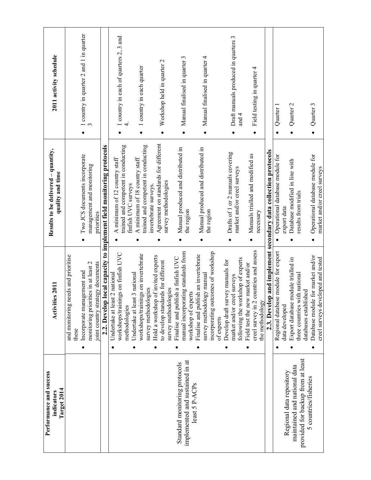| Performance and success<br>Target 2014<br>indicators             | Activities 2011                                                                                         | Results to be delivered - quantity,<br>quality and time              | 2011 activity schedule                               |
|------------------------------------------------------------------|---------------------------------------------------------------------------------------------------------|----------------------------------------------------------------------|------------------------------------------------------|
|                                                                  | eeds and prioritise<br>and monitoring n<br>these                                                        |                                                                      |                                                      |
|                                                                  | Incorporate management and                                                                              | Two JCS documents incorporate                                        | 1 country in quarter 2 and 1 in quarter<br>$\bullet$ |
|                                                                  | monitoring priorities in at least 2<br>joint country strategy documents                                 | management and monitoring<br>priorities                              |                                                      |
|                                                                  | 2.2. Develop                                                                                            | local capacity to implement field monitoring protocols               |                                                      |
|                                                                  | workshops/trainings on finfish UVC<br>Undertake at least 2 national                                     | trained and competent in conducting<br>A minimum of 12 country staff | 1 country in each of quarters 2, 3 and               |
|                                                                  | Undertake at least 3 national<br>methodologies                                                          | A minimum of 18 country staff<br>finfish UVC surveys                 |                                                      |
|                                                                  | workshops/trainings on invertebrate<br>survey methodologies                                             | trained and competent in conducting                                  | 1 country in each quarter<br>$\bullet$               |
|                                                                  | Hold a workshop of invited experts<br>to develop standards for different                                | Agreement on standards for different<br>invertebrate surveys.        | Workshop held in quarter 2<br>$\bullet$              |
|                                                                  | survey methodologies                                                                                    | survey methodologies                                                 |                                                      |
| implemented and sustained in at<br>Standard monitoring protocols | manual incorporating standards from<br>Finalise and publish a finfish UVC<br>workshop of experts        | Manual produced and distributed in<br>the region                     | Manual finalised in quarter 3<br>$\bullet$           |
|                                                                  | incorporating outcomes of workshop<br>Finalise and publish an invertebrate<br>survey methodology manual | Manual produced and distributed in<br>the region                     | Manual finalised in quarter 4<br>$\bullet$           |
|                                                                  | of experts                                                                                              |                                                                      |                                                      |
|                                                                  | Develop draft survey manuals for<br>market and/or creel surveys                                         | Drafts of 1 or 2 manuals covering<br>market and/or creel surveys     | Draft manuals produced in quarters 3<br>٠            |
|                                                                  | following the workshop of experts                                                                       |                                                                      | and 4                                                |
|                                                                  | countries and assess<br>Field test the new market and/or<br>creel survey in 2                           | Manuals trialled and modified as<br>$\bullet$                        | Field testing in quarter 4<br>$\bullet$              |
|                                                                  | the methodology                                                                                         | necessary                                                            |                                                      |
|                                                                  |                                                                                                         | 2.3. Develop and implement secondary data collection protocols       |                                                      |
|                                                                  | e module for export<br>Regional databas                                                                 | Operational database module for                                      | Quarter 1                                            |
| Regional data repository                                         | data developed                                                                                          | export data                                                          |                                                      |
| maintained and national data                                     | module trialled in<br>Export database                                                                   | Database modified in line with                                       | Quarter 2                                            |
| provided for backup from at least                                | three countries with national<br>databases established                                                  | results from trials                                                  |                                                      |
| 5 countries/fisheries                                            | Database module for market and/or                                                                       | Operational database module for                                      | Quarter 3                                            |
|                                                                  | creel surveys developed and tested                                                                      | market and/or creel surveys                                          |                                                      |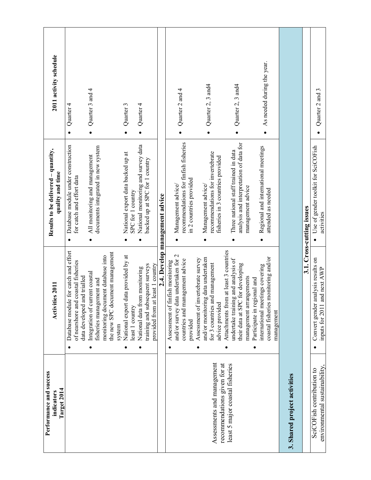| Performance and success<br>Target 2014<br>indicators       | Activities 2011                                                                                                                                                              | Results to be delivered - quantity,<br>quality and time                                              | 2011 activity schedule         |
|------------------------------------------------------------|------------------------------------------------------------------------------------------------------------------------------------------------------------------------------|------------------------------------------------------------------------------------------------------|--------------------------------|
|                                                            | for catch and effort<br>coastal fisheries<br>data developed and trialled<br>Database module<br>of nearshore and                                                              | Database module under construction<br>for catch and effort data                                      | Quarter 4                      |
|                                                            | the new SPC document management<br>monitoring document database into<br>Integration of current coastal<br>fisheries management and<br>system                                 | documents integrated in new system<br>All monitoring and management                                  | Quarter 3 and 4<br>$\bullet$   |
|                                                            | National export data provided by at<br>least 1 country                                                                                                                       | National export data backed up at<br>SPC for 1 country                                               | Quarter 3                      |
|                                                            | training and subsequent surveys<br>least 1 country<br>National data from monitoring<br>provided from at                                                                      | National monitoring and survey data<br>backed up at SPC for 1 country                                | Quarter 4                      |
|                                                            |                                                                                                                                                                              | 2.4. Develop management advice                                                                       |                                |
|                                                            | and/or survey data undertaken for 2<br>countries and management advice<br>Assessment of finfish monitoring<br>provided                                                       | recommendations for finfish fisheries<br>in 2 countries provided<br>Management advice/               | Quarter 2 and 4                |
| Assessments and management<br>recommendations given for at | and/or monitoring data undertaken<br>Assessment of invertebrate survey<br>for 3 countries and management<br>advice provided                                                  | recommendations for invertebrate<br>fisheries in 3 countries provided<br>Management advice/          | Quarter 2, 3 and4<br>$\bullet$ |
| least 5 major coastal fisheries                            | Attachments from at least 3 countries<br>undertake training and analysis of<br>for developing<br>management arrangements<br>Participate in regional and<br>their data at SPC | analysis and interpretation of data for<br>Three national staff trained in data<br>management advice | Quarter 2, 3 and4              |
|                                                            | nonitoring and/or<br>international meetings covering<br>coastal fisheries 1<br>management                                                                                    | Regional and international meetings<br>attended as needed                                            | As needed during the year.     |
| 3. Shared project activities                               |                                                                                                                                                                              |                                                                                                      |                                |
|                                                            |                                                                                                                                                                              | 3.1. Cross-cutting issues                                                                            |                                |
| environmental sustainability<br>SciCOFish contribution to  | Convert gender analysis results on<br>inputs for 2011 and next AWP                                                                                                           | Use of gender toolkit for SciCOFish<br>activities                                                    | Quarter 2 and 3                |